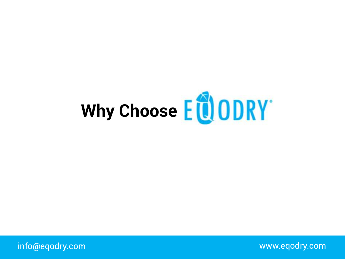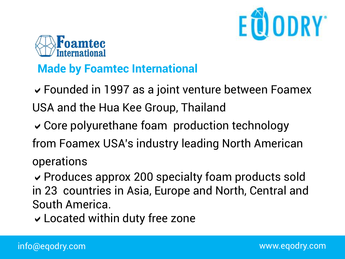



### **Made by Foamtec International**

 $\vee$  Founded in 1997 as a joint venture between Foamex USA and the Hua Kee Group, Thailand

 $\vee$  Core polyurethane foam production technology

from Foamex USA's industry leading North American operations

 $\vee$  Produces approx 200 specialty foam products sold in 23 countries in Asia, Europe and North, Central and South America.

 $\checkmark$  Located within duty free zone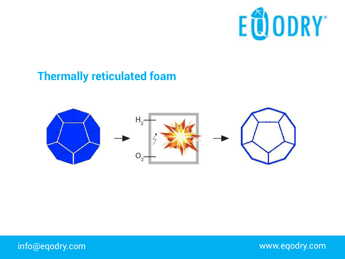

#### **Thermally reticulated foam**

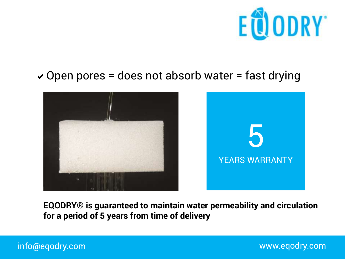

#### $\vee$  Open pores = does not absorb water = fast drying



**EQODRY® is guaranteed to maintain water permeability and circulation for a period of 5 years from time of delivery**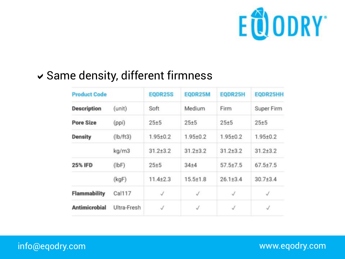

## $\checkmark$  Same density, different firmness

| <b>Product Code</b>  |             | EQDR25S        | EQDR25M        | EQDR25H        | EQDR25HH       |
|----------------------|-------------|----------------|----------------|----------------|----------------|
| <b>Description</b>   | (unit)      | Soft           | Medium         | Firm           | Super Firm     |
| <b>Pore Size</b>     | (ppi)       | $25 + 5$       | $25 + 5$       | $25 + 5$       | $25 + 5$       |
| <b>Density</b>       | (lb/ft3)    | $1.95 + 0.2$   | $1.95 + 0.2$   | $1.95 + 0.2$   | $1.95 + 0.2$   |
|                      | kg/m3       | $31.2 + 3.2$   | $31.2 + 3.2$   | $31.2 + 3.2$   | $31.2 + 3.2$   |
| <b>25% IFD</b>       | (lbf)       | $25 + 5$       | $34 + 4$       | $57.5{\pm}7.5$ | $67.5{\pm}7.5$ |
|                      | (kgF)       | $11.4{\pm}2.3$ | $15.5{\pm}1.8$ | $26.1 \pm 3.4$ | $30.7 + 3.4$   |
| <b>Flammability</b>  | Cal117      | J              | J              | J              | J              |
| <b>Antimicrobial</b> | Ultra-Fresh | J              | J              | $\checkmark$   | Í              |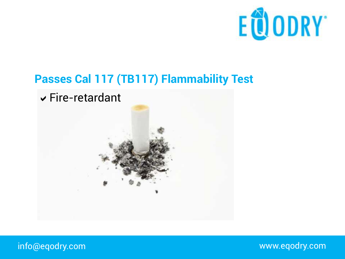

#### **Passes Cal 117 (TB117) Flammability Test**



info@eqodry.com

www.eqodry.com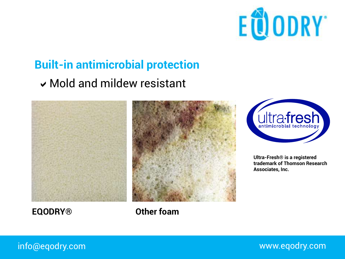

# **Built-in antimicrobial protection**

#### $\vee$  Mold and mildew resistant





**Ultra-Fresh® is a registered trademark of Thomson Research Associates, Inc.**

**EQODRY® Other foam**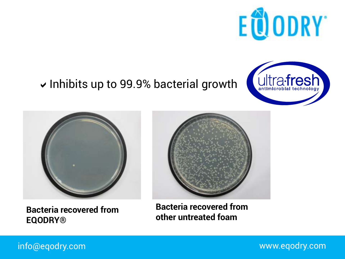

## $\vee$  Inhibits up to 99.9% bacterial growth





**Bacteria recovered from EQODRY®**



**Bacteria recovered from other untreated foam**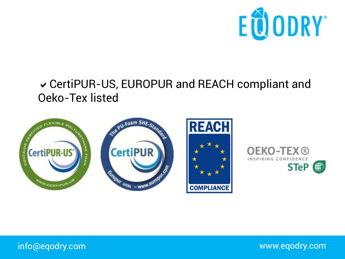

#### ↓ CertiPUR-US, EUROPUR and REACH compliant and Oeko-Tex listed





info@eqodry.com

www.eqodry.com

STeP **卷**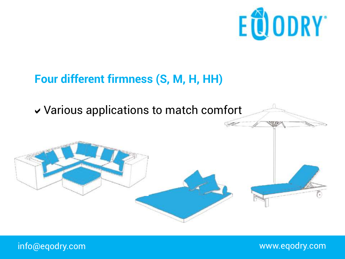

## **Four different firmness (S, M, H, HH)**

## $\vee$  Various applications to match comfort

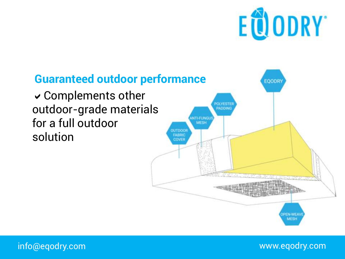

#### **Guaranteed outdoor performance** EOODRY  $\vee$  Complements other **INFSTE** outdoor-grade materials ADDIN **NTI-FUNGL** for a full outdoor **MESH UTDOOR** solution FABRIC COVER

**EN-WEA MESH**